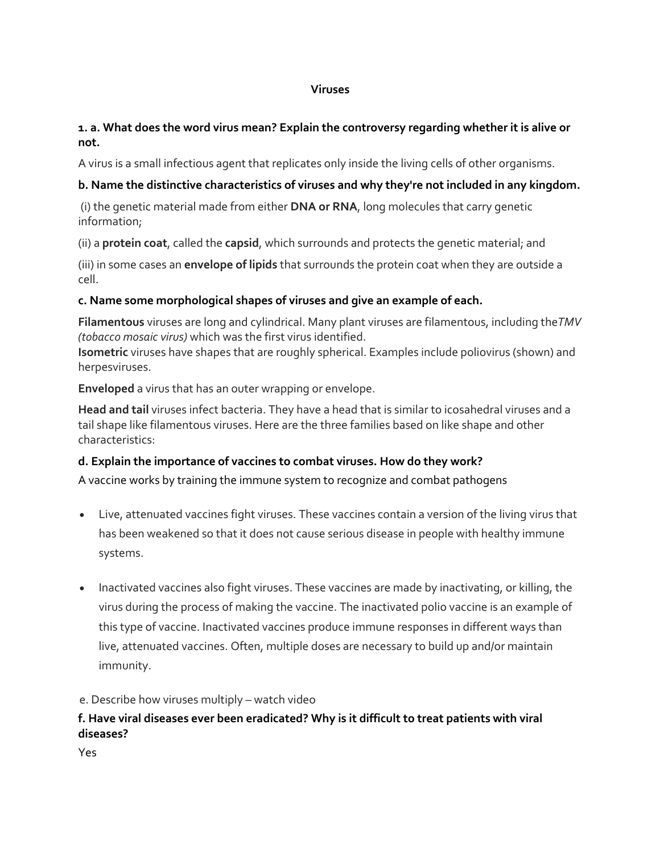#### **Viruses**

### **1. a. What does the word virus mean? Explain the controversy regarding whether it is alive or not.**

A virus is a small infectious agent that replicates only inside the living cells of other organisms.

# **b. Name the distinctive characteristics of viruses and why they're not included in any kingdom.**

(i) the genetic material made from either **DNA or RNA**, long molecules that carry genetic information;

(ii) a **protein coat**, called the **capsid**, which surrounds and protects the genetic material; and

(iii) in some cases an **envelope of lipids** that surrounds the protein coat when they are outside a cell.

# **c. Name some morphological shapes of viruses and give an example of each.**

**Filamentous** viruses are long and cylindrical. Many plant viruses are filamentous, including the*TMV (tobacco mosaic virus)* which was the first virus identified.

**Isometric** viruses have shapes that are roughly spherical. Examples include poliovirus (shown) and herpesviruses.

**Enveloped** a virus that has an outer wrapping or envelope.

**Head and tail** viruses infect bacteria. They have a head that is similar to icosahedral viruses and a tail shape like filamentous viruses. Here are the three families based on like shape and other characteristics:

# **d. Explain the importance of vaccines to combat viruses. How do they work?**

A vaccine works by training the immune system to recognize and combat pathogens

- Live, attenuated vaccines fight viruses. These vaccines contain a version of the living virus that has been weakened so that it does not cause serious disease in people with healthy immune systems.
- Inactivated vaccines also fight viruses. These vaccines are made by inactivating, or killing, the virus during the process of making the vaccine. The inactivated polio vaccine is an example of this type of vaccine. Inactivated vaccines produce immune responses in different ways than live, attenuated vaccines. Often, multiple doses are necessary to build up and/or maintain immunity.

e. Describe how viruses multiply – watch video

# **f. Have viral diseases ever been eradicated? Why is it difficult to treat patients with viral diseases?**

Yes